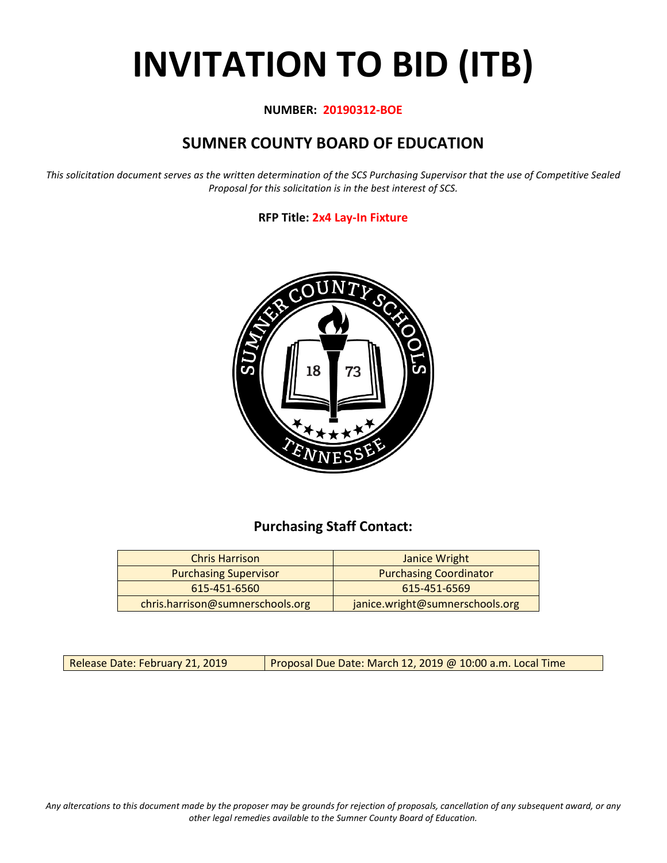# **INVITATION TO BID (ITB)**

#### **NUMBER: 20190312-BOE**

## **SUMNER COUNTY BOARD OF EDUCATION**

*This solicitation document serves as the written determination of the SCS Purchasing Supervisor that the use of Competitive Sealed Proposal for this solicitation is in the best interest of SCS.*

#### **RFP Title: 2x4 Lay-In Fixture**



## **Purchasing Staff Contact:**

| <b>Chris Harrison</b>            | Janice Wright                   |
|----------------------------------|---------------------------------|
| <b>Purchasing Supervisor</b>     | <b>Purchasing Coordinator</b>   |
| 615-451-6560                     | 615-451-6569                    |
| chris.harrison@sumnerschools.org | janice.wright@sumnerschools.org |

Release Date: February 21, 2019 | Proposal Due Date: March 12, 2019 @ 10:00 a.m. Local Time

*Any altercations to this document made by the proposer may be grounds for rejection of proposals, cancellation of any subsequent award, or any other legal remedies available to the Sumner County Board of Education.*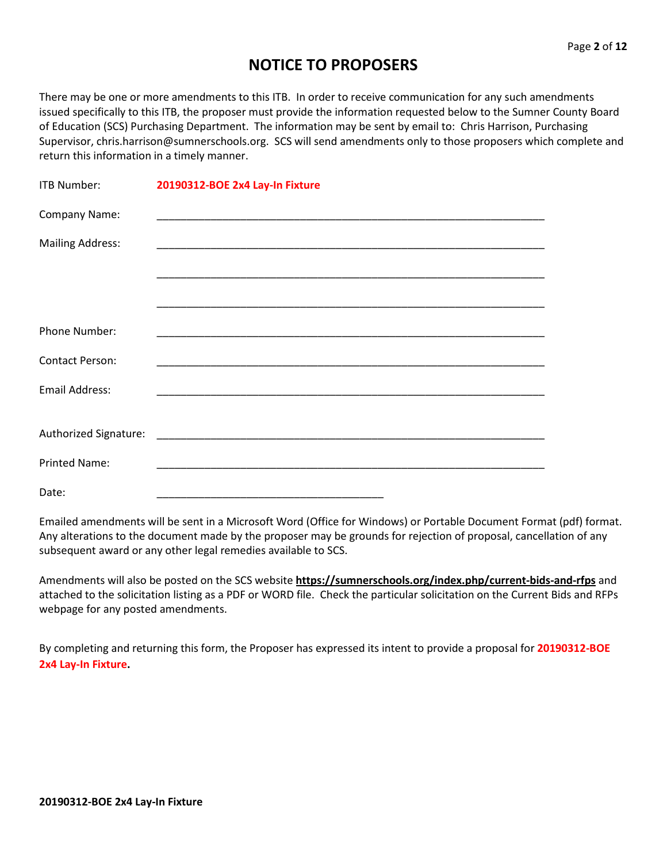## **NOTICE TO PROPOSERS**

There may be one or more amendments to this ITB. In order to receive communication for any such amendments issued specifically to this ITB, the proposer must provide the information requested below to the Sumner County Board of Education (SCS) Purchasing Department. The information may be sent by email to: Chris Harrison, Purchasing Supervisor, chris.harrison@sumnerschools.org. SCS will send amendments only to those proposers which complete and return this information in a timely manner.

| <b>ITB Number:</b>      | 20190312-BOE 2x4 Lay-In Fixture |
|-------------------------|---------------------------------|
| Company Name:           |                                 |
| <b>Mailing Address:</b> |                                 |
|                         |                                 |
|                         |                                 |
| <b>Phone Number:</b>    |                                 |
| <b>Contact Person:</b>  |                                 |
| <b>Email Address:</b>   |                                 |
|                         |                                 |
| <b>Printed Name:</b>    |                                 |
| Date:                   |                                 |

Emailed amendments will be sent in a Microsoft Word (Office for Windows) or Portable Document Format (pdf) format. Any alterations to the document made by the proposer may be grounds for rejection of proposal, cancellation of any subsequent award or any other legal remedies available to SCS.

Amendments will also be posted on the SCS website **https://sumnerschools.org/index.php/current-bids-and-rfps** and attached to the solicitation listing as a PDF or WORD file. Check the particular solicitation on the Current Bids and RFPs webpage for any posted amendments.

By completing and returning this form, the Proposer has expressed its intent to provide a proposal for **20190312-BOE 2x4 Lay-In Fixture.**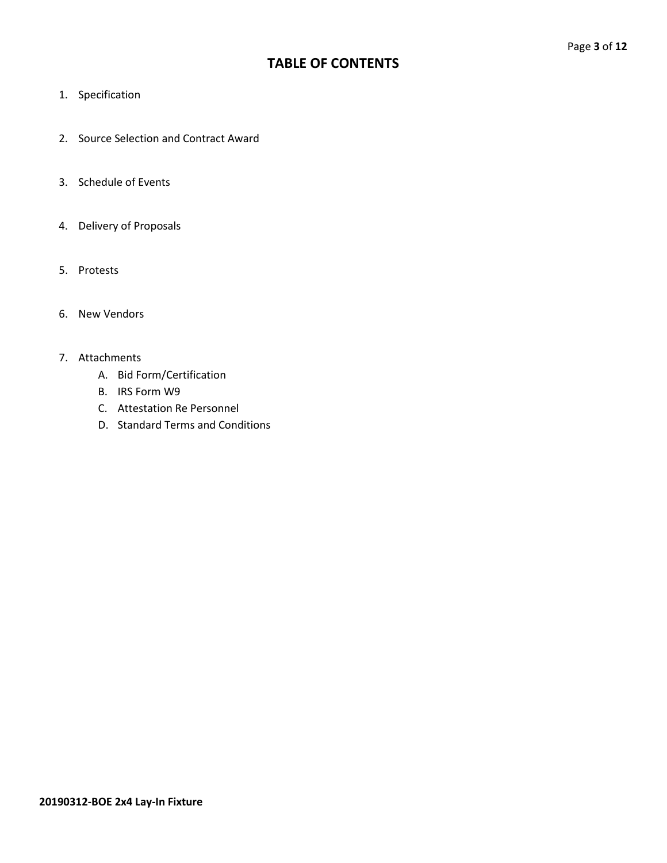## **TABLE OF CONTENTS**

- 1. Specification
- 2. Source Selection and Contract Award
- 3. Schedule of Events
- 4. Delivery of Proposals
- 5. Protests
- 6. New Vendors

#### 7. Attachments

- A. Bid Form/Certification
- B. IRS Form W9
- C. Attestation Re Personnel
- D. Standard Terms and Conditions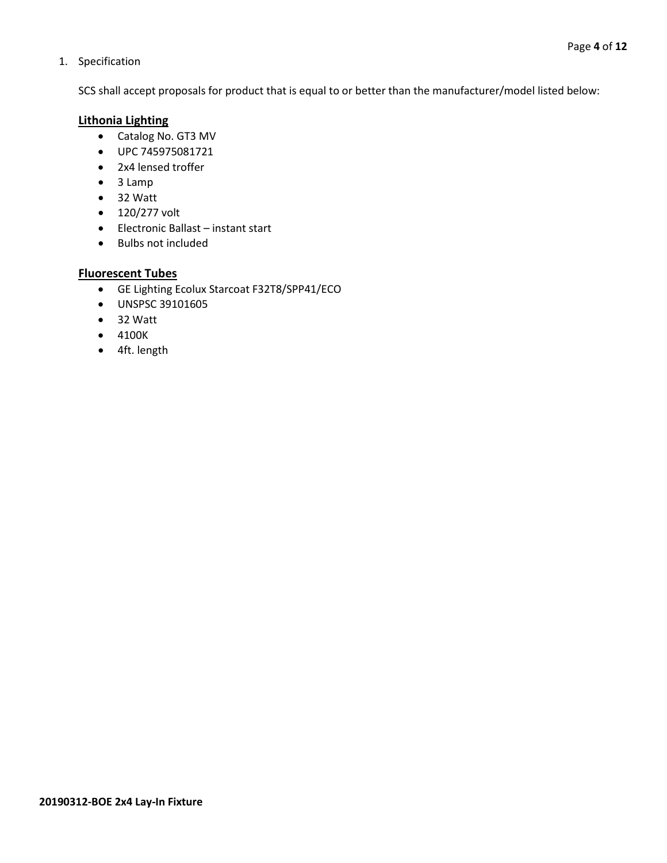#### 1. Specification

SCS shall accept proposals for product that is equal to or better than the manufacturer/model listed below:

#### **Lithonia Lighting**

- Catalog No. GT3 MV
- UPC 745975081721
- 2x4 lensed troffer
- 3 Lamp
- 32 Watt
- 120/277 volt
- Electronic Ballast instant start
- Bulbs not included

#### **Fluorescent Tubes**

- GE Lighting Ecolux Starcoat F32T8/SPP41/ECO
- UNSPSC 39101605
- 32 Watt
- 4100K
- 4ft. length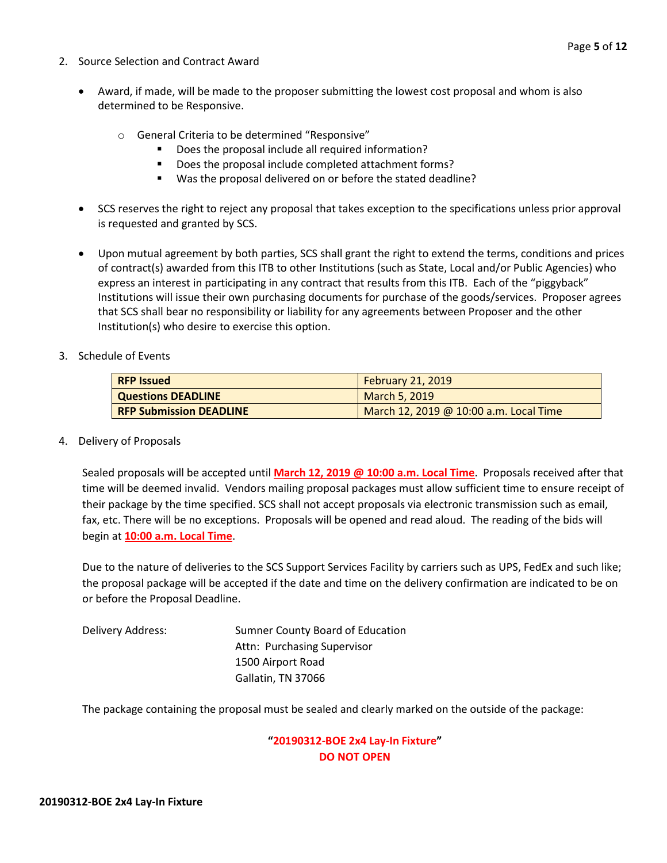- 2. Source Selection and Contract Award
	- Award, if made, will be made to the proposer submitting the lowest cost proposal and whom is also determined to be Responsive.
		- o General Criteria to be determined "Responsive"
			- Does the proposal include all required information?
			- Does the proposal include completed attachment forms?
			- Was the proposal delivered on or before the stated deadline?
	- SCS reserves the right to reject any proposal that takes exception to the specifications unless prior approval is requested and granted by SCS.
	- Upon mutual agreement by both parties, SCS shall grant the right to extend the terms, conditions and prices of contract(s) awarded from this ITB to other Institutions (such as State, Local and/or Public Agencies) who express an interest in participating in any contract that results from this ITB. Each of the "piggyback" Institutions will issue their own purchasing documents for purchase of the goods/services. Proposer agrees that SCS shall bear no responsibility or liability for any agreements between Proposer and the other Institution(s) who desire to exercise this option.
- 3. Schedule of Events

| <b>RFP Issued</b>              | February 21, 2019                      |
|--------------------------------|----------------------------------------|
| Questions DEADLINE             | March 5, 2019                          |
| <b>RFP Submission DEADLINE</b> | March 12, 2019 @ 10:00 a.m. Local Time |

4. Delivery of Proposals

Sealed proposals will be accepted until **March 12, 2019 @ 10:00 a.m. Local Time**. Proposals received after that time will be deemed invalid. Vendors mailing proposal packages must allow sufficient time to ensure receipt of their package by the time specified. SCS shall not accept proposals via electronic transmission such as email, fax, etc. There will be no exceptions. Proposals will be opened and read aloud. The reading of the bids will begin at **10:00 a.m. Local Time**.

Due to the nature of deliveries to the SCS Support Services Facility by carriers such as UPS, FedEx and such like; the proposal package will be accepted if the date and time on the delivery confirmation are indicated to be on or before the Proposal Deadline.

Delivery Address: Sumner County Board of Education Attn: Purchasing Supervisor 1500 Airport Road Gallatin, TN 37066

The package containing the proposal must be sealed and clearly marked on the outside of the package:

#### **"20190312-BOE 2x4 Lay-In Fixture" DO NOT OPEN**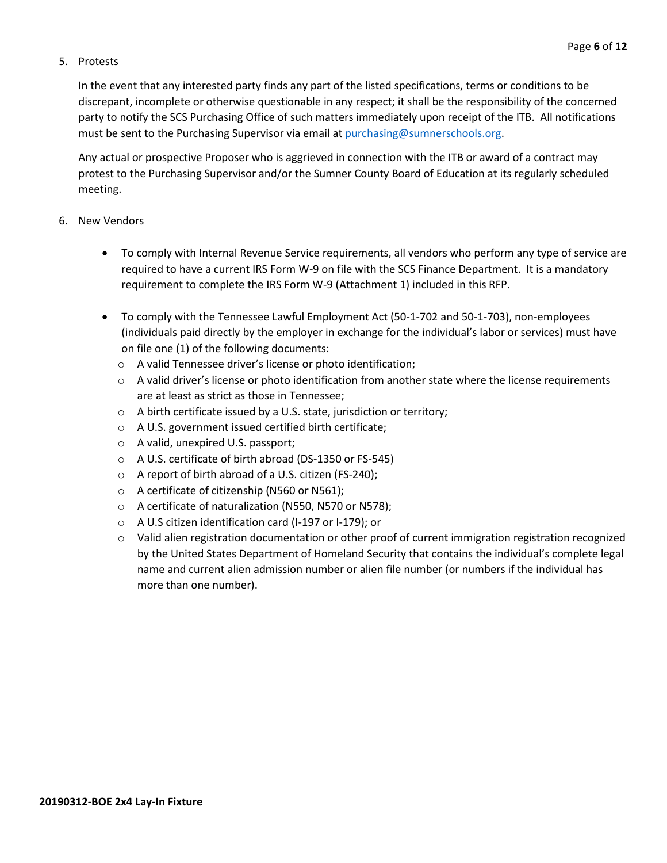#### 5. Protests

In the event that any interested party finds any part of the listed specifications, terms or conditions to be discrepant, incomplete or otherwise questionable in any respect; it shall be the responsibility of the concerned party to notify the SCS Purchasing Office of such matters immediately upon receipt of the ITB. All notifications must be sent to the Purchasing Supervisor via email at [purchasing@sumnerschools.org.](mailto:purchasing@sumnerschools.org)

Any actual or prospective Proposer who is aggrieved in connection with the ITB or award of a contract may protest to the Purchasing Supervisor and/or the Sumner County Board of Education at its regularly scheduled meeting.

#### 6. New Vendors

- To comply with Internal Revenue Service requirements, all vendors who perform any type of service are required to have a current IRS Form W-9 on file with the SCS Finance Department. It is a mandatory requirement to complete the IRS Form W-9 (Attachment 1) included in this RFP.
- To comply with the Tennessee Lawful Employment Act (50-1-702 and 50-1-703), non-employees (individuals paid directly by the employer in exchange for the individual's labor or services) must have on file one (1) of the following documents:
	- o A valid Tennessee driver's license or photo identification;
	- $\circ$  A valid driver's license or photo identification from another state where the license requirements are at least as strict as those in Tennessee;
	- o A birth certificate issued by a U.S. state, jurisdiction or territory;
	- o A U.S. government issued certified birth certificate;
	- o A valid, unexpired U.S. passport;
	- o A U.S. certificate of birth abroad (DS-1350 or FS-545)
	- o A report of birth abroad of a U.S. citizen (FS-240);
	- o A certificate of citizenship (N560 or N561);
	- o A certificate of naturalization (N550, N570 or N578);
	- o A U.S citizen identification card (I-197 or I-179); or
	- o Valid alien registration documentation or other proof of current immigration registration recognized by the United States Department of Homeland Security that contains the individual's complete legal name and current alien admission number or alien file number (or numbers if the individual has more than one number).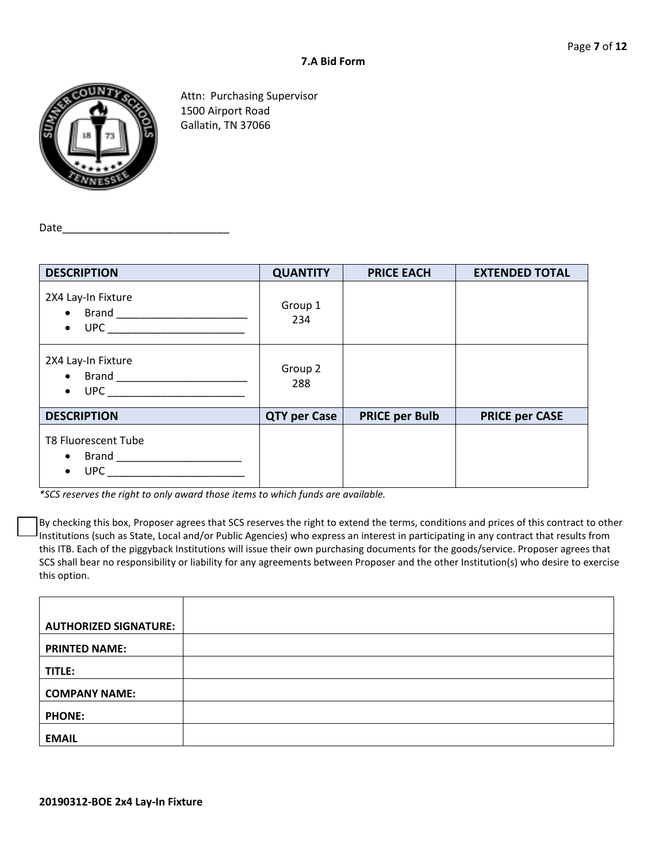

Attn: Purchasing Supervisor 1500 Airport Road Gallatin, TN 37066

Date\_

| <b>DESCRIPTION</b>                                    | <b>QUANTITY</b>     | <b>PRICE EACH</b>     | <b>EXTENDED TOTAL</b> |
|-------------------------------------------------------|---------------------|-----------------------|-----------------------|
| 2X4 Lay-In Fixture<br>$\bullet$                       | Group 1<br>234      |                       |                       |
| 2X4 Lay-In Fixture<br><b>UPC</b><br>$\bullet$         | Group 2<br>288      |                       |                       |
| <b>DESCRIPTION</b>                                    | <b>QTY per Case</b> | <b>PRICE per Bulb</b> | <b>PRICE per CASE</b> |
| <b>T8 Fluorescent Tube</b><br><b>UPC</b><br>$\bullet$ |                     |                       |                       |

*\*SCS reserves the right to only award those items to which funds are available.*

By checking this box, Proposer agrees that SCS reserves the right to extend the terms, conditions and prices of this contract to other Institutions (such as State, Local and/or Public Agencies) who express an interest in participating in any contract that results from this ITB. Each of the piggyback Institutions will issue their own purchasing documents for the goods/service. Proposer agrees that SCS shall bear no responsibility or liability for any agreements between Proposer and the other Institution(s) who desire to exercise this option.

| <b>AUTHORIZED SIGNATURE:</b> |  |
|------------------------------|--|
| <b>PRINTED NAME:</b>         |  |
| TITLE:                       |  |
| <b>COMPANY NAME:</b>         |  |
| <b>PHONE:</b>                |  |
| <b>EMAIL</b>                 |  |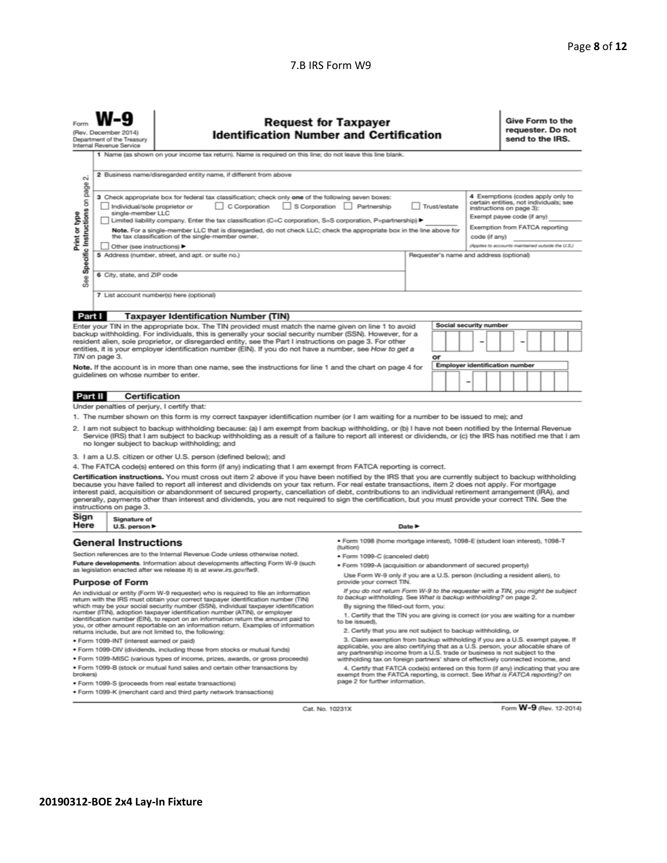#### 7.B IRS Form W9

| Form                                                                                                                                                                                                                                                                                                                                                                                                                                                                                                                                                                                                                                                     | <b>Request for Taxpayer</b><br>(Rev. December 2014)<br><b>Identification Number and Certification</b><br>Department of the Treasury<br>Internal Revenue Service                                                                                                                                                                            |                                                                |                                                                                                                                                                                                                                                        |                                                                                                                                                      | Give Form to the<br>requester. Do not<br>send to the IRS. |                        |                                                   |
|----------------------------------------------------------------------------------------------------------------------------------------------------------------------------------------------------------------------------------------------------------------------------------------------------------------------------------------------------------------------------------------------------------------------------------------------------------------------------------------------------------------------------------------------------------------------------------------------------------------------------------------------------------|--------------------------------------------------------------------------------------------------------------------------------------------------------------------------------------------------------------------------------------------------------------------------------------------------------------------------------------------|----------------------------------------------------------------|--------------------------------------------------------------------------------------------------------------------------------------------------------------------------------------------------------------------------------------------------------|------------------------------------------------------------------------------------------------------------------------------------------------------|-----------------------------------------------------------|------------------------|---------------------------------------------------|
|                                                                                                                                                                                                                                                                                                                                                                                                                                                                                                                                                                                                                                                          |                                                                                                                                                                                                                                                                                                                                            |                                                                | 1 Name (as shown on your income tax return). Name is required on this line; do not leave this line blank.                                                                                                                                              |                                                                                                                                                      |                                                           |                        |                                                   |
| page                                                                                                                                                                                                                                                                                                                                                                                                                                                                                                                                                                                                                                                     | 2 Business name/disregarded entity name, if different from above<br>οû                                                                                                                                                                                                                                                                     |                                                                |                                                                                                                                                                                                                                                        |                                                                                                                                                      |                                                           |                        |                                                   |
| Specific Instructions on                                                                                                                                                                                                                                                                                                                                                                                                                                                                                                                                                                                                                                 | 3 Check appropriate box for federal tax classification; check only one of the following seven boxes:<br>C Corporation<br>S Corporation<br>Partnership<br>Trust/estate<br>Individual/sole proprietor or<br>single-member LLC<br>Limited liability company. Enter the tax classification (C=C corporation, S=S corporation, P=partnership) ▶ |                                                                |                                                                                                                                                                                                                                                        | 4 Exemptions (codes apply only to<br>certain entities, not individuals; see<br>instructions on page 3):<br>Exempt payee code (if any)                |                                                           |                        |                                                   |
| Print or type<br>Note. For a single-member LLC that is disregarded, do not check LLC; check the appropriate box in the line above for<br>the tax classification of the single-member owner.                                                                                                                                                                                                                                                                                                                                                                                                                                                              |                                                                                                                                                                                                                                                                                                                                            |                                                                |                                                                                                                                                                                                                                                        | Exemption from FATCA reporting<br>code (if any)                                                                                                      |                                                           |                        |                                                   |
|                                                                                                                                                                                                                                                                                                                                                                                                                                                                                                                                                                                                                                                          |                                                                                                                                                                                                                                                                                                                                            | Other (see instructions) ▶                                     |                                                                                                                                                                                                                                                        |                                                                                                                                                      |                                                           |                        | (Applies to accounts maintained outside the U.S.) |
|                                                                                                                                                                                                                                                                                                                                                                                                                                                                                                                                                                                                                                                          |                                                                                                                                                                                                                                                                                                                                            |                                                                | 5 Address (number, street, and apt. or suite no.)                                                                                                                                                                                                      |                                                                                                                                                      | Requester's name and address (optional)                   |                        |                                                   |
| See                                                                                                                                                                                                                                                                                                                                                                                                                                                                                                                                                                                                                                                      |                                                                                                                                                                                                                                                                                                                                            | 6 City, state, and ZIP code                                    |                                                                                                                                                                                                                                                        |                                                                                                                                                      |                                                           |                        |                                                   |
|                                                                                                                                                                                                                                                                                                                                                                                                                                                                                                                                                                                                                                                          |                                                                                                                                                                                                                                                                                                                                            |                                                                | 7 List account number(s) here (optional)                                                                                                                                                                                                               |                                                                                                                                                      |                                                           |                        |                                                   |
|                                                                                                                                                                                                                                                                                                                                                                                                                                                                                                                                                                                                                                                          |                                                                                                                                                                                                                                                                                                                                            |                                                                |                                                                                                                                                                                                                                                        |                                                                                                                                                      |                                                           |                        |                                                   |
|                                                                                                                                                                                                                                                                                                                                                                                                                                                                                                                                                                                                                                                          | Part I                                                                                                                                                                                                                                                                                                                                     |                                                                | <b>Taxpayer Identification Number (TIN)</b>                                                                                                                                                                                                            |                                                                                                                                                      |                                                           |                        |                                                   |
|                                                                                                                                                                                                                                                                                                                                                                                                                                                                                                                                                                                                                                                          |                                                                                                                                                                                                                                                                                                                                            |                                                                | Enter your TIN in the appropriate box. The TIN provided must match the name given on line 1 to avoid                                                                                                                                                   |                                                                                                                                                      |                                                           | Social security number |                                                   |
| backup withholding. For individuals, this is generally your social security number (SSN). However, for a<br>resident alien, sole proprietor, or disregarded entity, see the Part I instructions on page 3. For other<br>entities, it is your employer identification number (EIN). If you do not have a number, see How to get a                                                                                                                                                                                                                                                                                                                         |                                                                                                                                                                                                                                                                                                                                            |                                                                |                                                                                                                                                                                                                                                        |                                                                                                                                                      |                                                           |                        |                                                   |
|                                                                                                                                                                                                                                                                                                                                                                                                                                                                                                                                                                                                                                                          | TIN on page 3.                                                                                                                                                                                                                                                                                                                             |                                                                |                                                                                                                                                                                                                                                        |                                                                                                                                                      | or                                                        |                        |                                                   |
|                                                                                                                                                                                                                                                                                                                                                                                                                                                                                                                                                                                                                                                          |                                                                                                                                                                                                                                                                                                                                            |                                                                | Note. If the account is in more than one name, see the instructions for line 1 and the chart on page 4 for                                                                                                                                             |                                                                                                                                                      |                                                           |                        | <b>Employer identification number</b>             |
|                                                                                                                                                                                                                                                                                                                                                                                                                                                                                                                                                                                                                                                          | quidelines on whose number to enter.                                                                                                                                                                                                                                                                                                       |                                                                |                                                                                                                                                                                                                                                        |                                                                                                                                                      |                                                           |                        |                                                   |
|                                                                                                                                                                                                                                                                                                                                                                                                                                                                                                                                                                                                                                                          | Part II                                                                                                                                                                                                                                                                                                                                    | <b>Certification</b>                                           |                                                                                                                                                                                                                                                        |                                                                                                                                                      |                                                           |                        |                                                   |
|                                                                                                                                                                                                                                                                                                                                                                                                                                                                                                                                                                                                                                                          |                                                                                                                                                                                                                                                                                                                                            |                                                                | Under penalties of perjury, I certify that:                                                                                                                                                                                                            |                                                                                                                                                      |                                                           |                        |                                                   |
|                                                                                                                                                                                                                                                                                                                                                                                                                                                                                                                                                                                                                                                          |                                                                                                                                                                                                                                                                                                                                            |                                                                | 1. The number shown on this form is my correct taxpayer identification number (or I am waiting for a number to be issued to me); and                                                                                                                   |                                                                                                                                                      |                                                           |                        |                                                   |
| 2. I am not subject to backup withholding because: (a) I am exempt from backup withholding, or (b) I have not been notified by the Internal Revenue<br>Service (IRS) that I am subject to backup withholding as a result of a failure to report all interest or dividends, or (c) the IRS has notified me that I am<br>no longer subject to backup withholding; and                                                                                                                                                                                                                                                                                      |                                                                                                                                                                                                                                                                                                                                            |                                                                |                                                                                                                                                                                                                                                        |                                                                                                                                                      |                                                           |                        |                                                   |
|                                                                                                                                                                                                                                                                                                                                                                                                                                                                                                                                                                                                                                                          |                                                                                                                                                                                                                                                                                                                                            |                                                                | 3. I am a U.S. citizen or other U.S. person (defined below); and                                                                                                                                                                                       |                                                                                                                                                      |                                                           |                        |                                                   |
| 4. The FATCA code(s) entered on this form (if any) indicating that I am exempt from FATCA reporting is correct.                                                                                                                                                                                                                                                                                                                                                                                                                                                                                                                                          |                                                                                                                                                                                                                                                                                                                                            |                                                                |                                                                                                                                                                                                                                                        |                                                                                                                                                      |                                                           |                        |                                                   |
| Certification instructions. You must cross out item 2 above if you have been notified by the IRS that you are currently subject to backup withholding<br>because you have failed to report all interest and dividends on your tax return. For real estate transactions, item 2 does not apply. For mortgage<br>interest paid, acquisition or abandonment of secured property, cancellation of debt, contributions to an individual retirement arrangement (IRA), and<br>generally, payments other than interest and dividends, you are not required to sign the certification, but you must provide your correct TIN. See the<br>instructions on page 3. |                                                                                                                                                                                                                                                                                                                                            |                                                                |                                                                                                                                                                                                                                                        |                                                                                                                                                      |                                                           |                        |                                                   |
| Sign<br>Here                                                                                                                                                                                                                                                                                                                                                                                                                                                                                                                                                                                                                                             |                                                                                                                                                                                                                                                                                                                                            | Signature of<br>U.S. person ▶                                  |                                                                                                                                                                                                                                                        |                                                                                                                                                      | Date $\blacktriangleright$                                |                        |                                                   |
|                                                                                                                                                                                                                                                                                                                                                                                                                                                                                                                                                                                                                                                          |                                                                                                                                                                                                                                                                                                                                            | <b>General Instructions</b>                                    |                                                                                                                                                                                                                                                        | · Form 1098 (home mortgage interest), 1098-E (student loan interest), 1098-T<br>(tuition)                                                            |                                                           |                        |                                                   |
|                                                                                                                                                                                                                                                                                                                                                                                                                                                                                                                                                                                                                                                          |                                                                                                                                                                                                                                                                                                                                            |                                                                | Section references are to the Internal Revenue Code unless otherwise noted.                                                                                                                                                                            | · Form 1099-C (canceled debt)                                                                                                                        |                                                           |                        |                                                   |
| Future developments. Information about developments affecting Form W-9 (such<br>as legislation enacted after we release it) is at www.irs.gov/fw9.                                                                                                                                                                                                                                                                                                                                                                                                                                                                                                       |                                                                                                                                                                                                                                                                                                                                            | · Form 1099-A (acquisition or abandonment of secured property) |                                                                                                                                                                                                                                                        |                                                                                                                                                      |                                                           |                        |                                                   |
|                                                                                                                                                                                                                                                                                                                                                                                                                                                                                                                                                                                                                                                          |                                                                                                                                                                                                                                                                                                                                            | <b>Purpose of Form</b>                                         |                                                                                                                                                                                                                                                        | Use Form W-9 only if you are a U.S. person (including a resident alien), to<br>provide your correct TIN.                                             |                                                           |                        |                                                   |
|                                                                                                                                                                                                                                                                                                                                                                                                                                                                                                                                                                                                                                                          |                                                                                                                                                                                                                                                                                                                                            |                                                                | An individual or entity (Form W-9 requester) who is required to file an information<br>return with the IRS must obtain your correct taxpayer identification number (TIN)                                                                               | If you do not return Form W-9 to the requester with a TIN, you might be subject<br>to backup withholding. See What is backup withholding? on page 2. |                                                           |                        |                                                   |
|                                                                                                                                                                                                                                                                                                                                                                                                                                                                                                                                                                                                                                                          |                                                                                                                                                                                                                                                                                                                                            |                                                                | which may be your social security number (SSN), individual taxpayer identification<br>number (ITIN), adoption taxpayer identification number (ATIN), or employer<br>identification number (EIN), to report on an information return the amount paid to | By signing the filled-out form, you:<br>1. Certify that the TIN you are giving is correct (or you are waiting for a number<br>In he issued)          |                                                           |                        |                                                   |

you, or other amount reportable on an information return. Examples of information returns include, but are not limited to, the following:

- · Form 1099-INT (interest earned or paid)
- . Form 1099-DIV (dividends, including those from stocks or mutual funds)
- · Form 1099-MISC (various types of income, prizes, awards, or gross proceeds) . Form 1099-B (stock or mutual fund sales and certain other transactions by
- brokers)
- · Form 1099-S (proceeds from real estate transactions)
- · Form 1099-K (merchant card and third party network transactions)
- 
- 2. Certify that you are not subject to backup withholding, or
- 2. Certify that you are not subject to backup withholding, or<br>3. Claim exemption from backup withholding if you are a U.S. exempt payee. If<br>applicable, you are also certifying that as a U.S. person, your allocable share of

withholding tax on foreign partners' share of effectively connected income, and<br>4. Certify that FATCA code(s) entered on this form (if any) indicating that you are<br>exempt from the FATCA reporting, is correct. See What is F

Cat. No. 10231X

Form W-9 (Rev. 12-2014)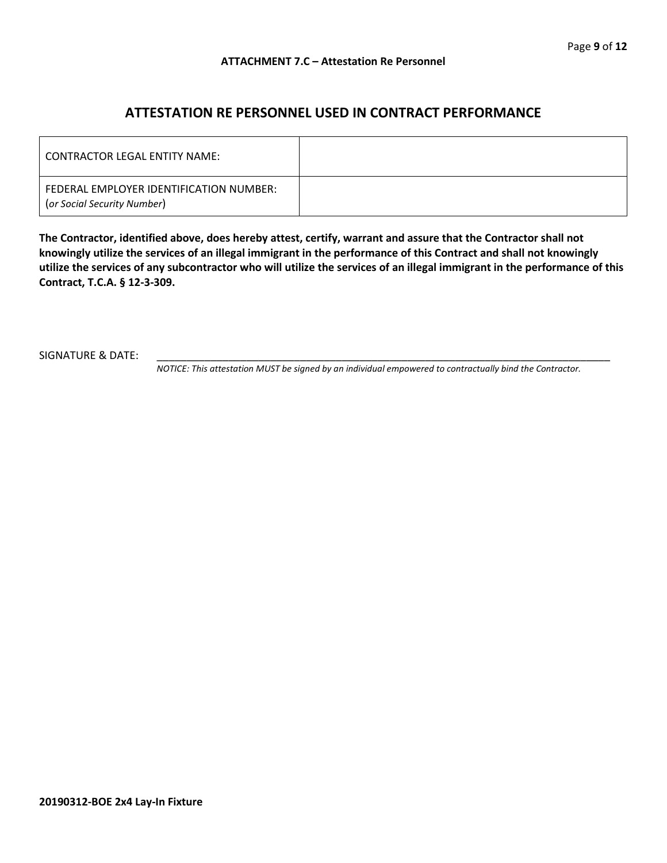### **ATTESTATION RE PERSONNEL USED IN CONTRACT PERFORMANCE**

| LCONTRACTOR LEGAL ENTITY NAME:                                         |  |
|------------------------------------------------------------------------|--|
| FEDERAL EMPLOYER IDENTIFICATION NUMBER:<br>(or Social Security Number) |  |

**The Contractor, identified above, does hereby attest, certify, warrant and assure that the Contractor shall not knowingly utilize the services of an illegal immigrant in the performance of this Contract and shall not knowingly utilize the services of any subcontractor who will utilize the services of an illegal immigrant in the performance of this Contract, T.C.A. § 12-3-309.**

SIGNATURE & DATE:

*NOTICE: This attestation MUST be signed by an individual empowered to contractually bind the Contractor.*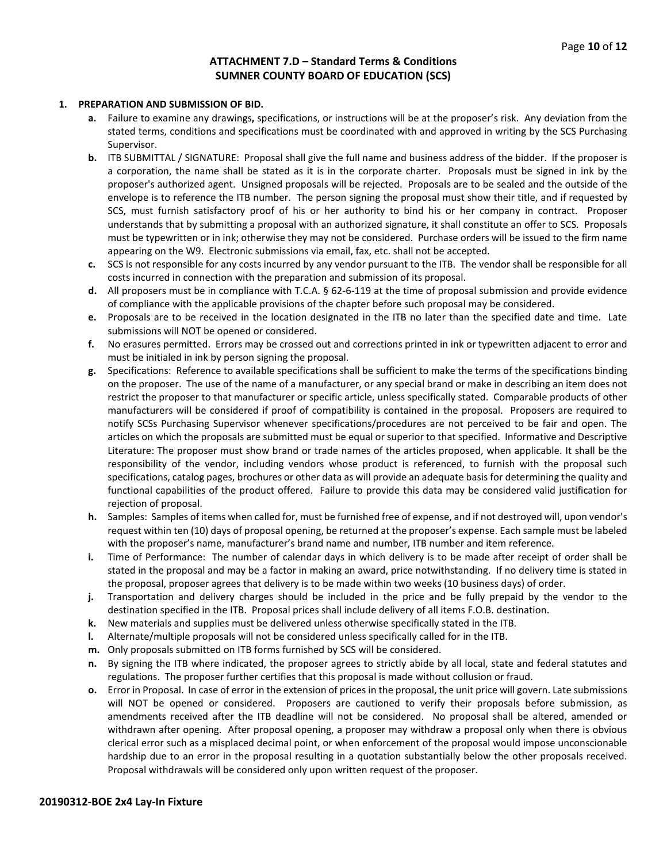#### **ATTACHMENT 7.D – Standard Terms & Conditions SUMNER COUNTY BOARD OF EDUCATION (SCS)**

#### **1. PREPARATION AND SUBMISSION OF BID.**

- **a.** Failure to examine any drawings**,** specifications, or instructions will be at the proposer's risk. Any deviation from the stated terms, conditions and specifications must be coordinated with and approved in writing by the SCS Purchasing Supervisor.
- **b.** ITB SUBMITTAL / SIGNATURE: Proposal shall give the full name and business address of the bidder. If the proposer is a corporation, the name shall be stated as it is in the corporate charter. Proposals must be signed in ink by the proposer's authorized agent. Unsigned proposals will be rejected. Proposals are to be sealed and the outside of the envelope is to reference the ITB number. The person signing the proposal must show their title, and if requested by SCS, must furnish satisfactory proof of his or her authority to bind his or her company in contract. Proposer understands that by submitting a proposal with an authorized signature, it shall constitute an offer to SCS. Proposals must be typewritten or in ink; otherwise they may not be considered. Purchase orders will be issued to the firm name appearing on the W9. Electronic submissions via email, fax, etc. shall not be accepted.
- **c.** SCS is not responsible for any costs incurred by any vendor pursuant to the ITB. The vendor shall be responsible for all costs incurred in connection with the preparation and submission of its proposal.
- **d.** All proposers must be in compliance with T.C.A. § 62-6-119 at the time of proposal submission and provide evidence of compliance with the applicable provisions of the chapter before such proposal may be considered.
- **e.** Proposals are to be received in the location designated in the ITB no later than the specified date and time. Late submissions will NOT be opened or considered.
- **f.** No erasures permitted. Errors may be crossed out and corrections printed in ink or typewritten adjacent to error and must be initialed in ink by person signing the proposal.
- **g.** Specifications: Reference to available specifications shall be sufficient to make the terms of the specifications binding on the proposer. The use of the name of a manufacturer, or any special brand or make in describing an item does not restrict the proposer to that manufacturer or specific article, unless specifically stated. Comparable products of other manufacturers will be considered if proof of compatibility is contained in the proposal. Proposers are required to notify SCSs Purchasing Supervisor whenever specifications/procedures are not perceived to be fair and open. The articles on which the proposals are submitted must be equal or superior to that specified. Informative and Descriptive Literature: The proposer must show brand or trade names of the articles proposed, when applicable. It shall be the responsibility of the vendor, including vendors whose product is referenced, to furnish with the proposal such specifications, catalog pages, brochures or other data as will provide an adequate basis for determining the quality and functional capabilities of the product offered. Failure to provide this data may be considered valid justification for rejection of proposal.
- **h.** Samples: Samples of items when called for, must be furnished free of expense, and if not destroyed will, upon vendor's request within ten (10) days of proposal opening, be returned at the proposer's expense. Each sample must be labeled with the proposer's name, manufacturer's brand name and number, ITB number and item reference.
- **i.** Time of Performance: The number of calendar days in which delivery is to be made after receipt of order shall be stated in the proposal and may be a factor in making an award, price notwithstanding. If no delivery time is stated in the proposal, proposer agrees that delivery is to be made within two weeks (10 business days) of order.
- **j.** Transportation and delivery charges should be included in the price and be fully prepaid by the vendor to the destination specified in the ITB. Proposal prices shall include delivery of all items F.O.B. destination.
- **k.** New materials and supplies must be delivered unless otherwise specifically stated in the ITB.
- **l.** Alternate/multiple proposals will not be considered unless specifically called for in the ITB.
- **m.** Only proposals submitted on ITB forms furnished by SCS will be considered.
- **n.** By signing the ITB where indicated, the proposer agrees to strictly abide by all local, state and federal statutes and regulations. The proposer further certifies that this proposal is made without collusion or fraud.
- **o.** Error in Proposal. In case of error in the extension of prices in the proposal, the unit price will govern. Late submissions will NOT be opened or considered. Proposers are cautioned to verify their proposals before submission, as amendments received after the ITB deadline will not be considered. No proposal shall be altered, amended or withdrawn after opening. After proposal opening, a proposer may withdraw a proposal only when there is obvious clerical error such as a misplaced decimal point, or when enforcement of the proposal would impose unconscionable hardship due to an error in the proposal resulting in a quotation substantially below the other proposals received. Proposal withdrawals will be considered only upon written request of the proposer.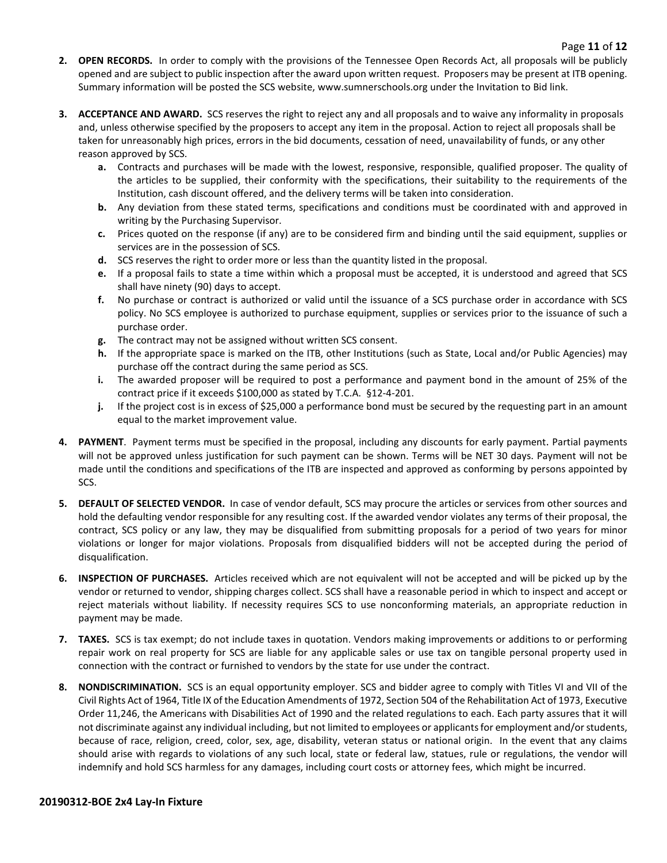- **2. OPEN RECORDS.** In order to comply with the provisions of the Tennessee Open Records Act, all proposals will be publicly opened and are subject to public inspection after the award upon written request. Proposers may be present at ITB opening. Summary information will be posted the SCS website, www.sumnerschools.org under the Invitation to Bid link.
- **3. ACCEPTANCE AND AWARD.** SCS reserves the right to reject any and all proposals and to waive any informality in proposals and, unless otherwise specified by the proposers to accept any item in the proposal. Action to reject all proposals shall be taken for unreasonably high prices, errors in the bid documents, cessation of need, unavailability of funds, or any other reason approved by SCS.
	- **a.** Contracts and purchases will be made with the lowest, responsive, responsible, qualified proposer. The quality of the articles to be supplied, their conformity with the specifications, their suitability to the requirements of the Institution, cash discount offered, and the delivery terms will be taken into consideration.
	- **b.** Any deviation from these stated terms, specifications and conditions must be coordinated with and approved in writing by the Purchasing Supervisor.
	- **c.** Prices quoted on the response (if any) are to be considered firm and binding until the said equipment, supplies or services are in the possession of SCS.
	- **d.** SCS reserves the right to order more or less than the quantity listed in the proposal.
	- **e.** If a proposal fails to state a time within which a proposal must be accepted, it is understood and agreed that SCS shall have ninety (90) days to accept.
	- **f.** No purchase or contract is authorized or valid until the issuance of a SCS purchase order in accordance with SCS policy. No SCS employee is authorized to purchase equipment, supplies or services prior to the issuance of such a purchase order.
	- **g.** The contract may not be assigned without written SCS consent.
	- **h.** If the appropriate space is marked on the ITB, other Institutions (such as State, Local and/or Public Agencies) may purchase off the contract during the same period as SCS.
	- **i.** The awarded proposer will be required to post a performance and payment bond in the amount of 25% of the contract price if it exceeds \$100,000 as stated by T.C.A. §12-4-201.
	- **j.** If the project cost is in excess of \$25,000 a performance bond must be secured by the requesting part in an amount equal to the market improvement value.
- **4. PAYMENT**. Payment terms must be specified in the proposal, including any discounts for early payment. Partial payments will not be approved unless justification for such payment can be shown. Terms will be NET 30 days. Payment will not be made until the conditions and specifications of the ITB are inspected and approved as conforming by persons appointed by SCS.
- **5. DEFAULT OF SELECTED VENDOR.** In case of vendor default, SCS may procure the articles or services from other sources and hold the defaulting vendor responsible for any resulting cost. If the awarded vendor violates any terms of their proposal, the contract, SCS policy or any law, they may be disqualified from submitting proposals for a period of two years for minor violations or longer for major violations. Proposals from disqualified bidders will not be accepted during the period of disqualification.
- **6. INSPECTION OF PURCHASES.** Articles received which are not equivalent will not be accepted and will be picked up by the vendor or returned to vendor, shipping charges collect. SCS shall have a reasonable period in which to inspect and accept or reject materials without liability. If necessity requires SCS to use nonconforming materials, an appropriate reduction in payment may be made.
- **7. TAXES.** SCS is tax exempt; do not include taxes in quotation. Vendors making improvements or additions to or performing repair work on real property for SCS are liable for any applicable sales or use tax on tangible personal property used in connection with the contract or furnished to vendors by the state for use under the contract.
- **8. NONDISCRIMINATION.** SCS is an equal opportunity employer. SCS and bidder agree to comply with Titles VI and VII of the Civil Rights Act of 1964, Title IX of the Education Amendments of 1972, Section 504 of the Rehabilitation Act of 1973, Executive Order 11,246, the Americans with Disabilities Act of 1990 and the related regulations to each. Each party assures that it will not discriminate against any individual including, but not limited to employees or applicants for employment and/or students, because of race, religion, creed, color, sex, age, disability, veteran status or national origin. In the event that any claims should arise with regards to violations of any such local, state or federal law, statues, rule or regulations, the vendor will indemnify and hold SCS harmless for any damages, including court costs or attorney fees, which might be incurred.